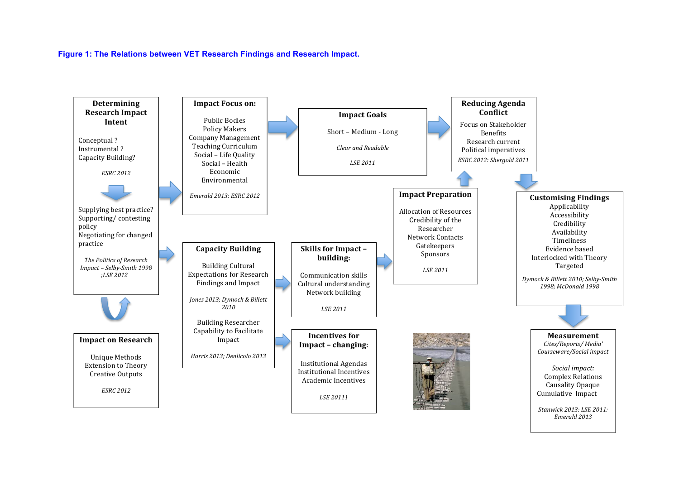#### **Figure 1: The Relations between VET Research Findings and Research Impact.**